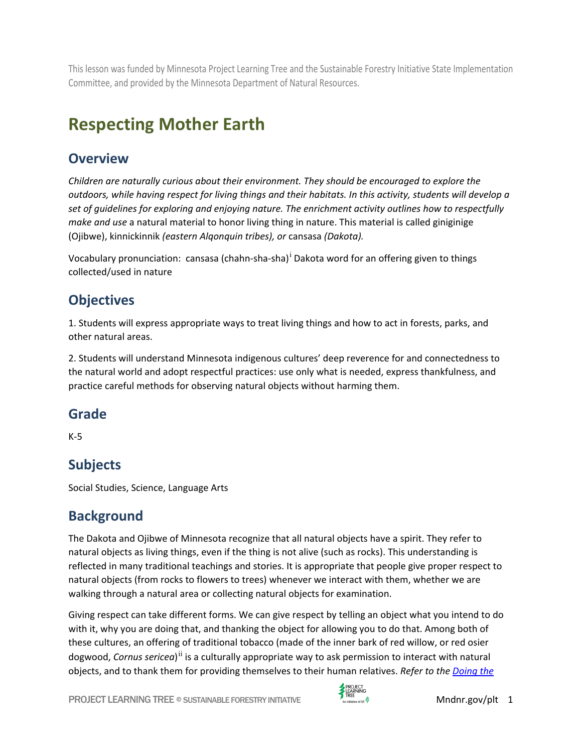This lesson was funded by Minnesota Project Learning Tree and the Sustainable Forestry Initiative State Implementation Committee, and provided by the Minnesota Department of Natural Resources.

# **Respecting Mother Earth**

#### **Overview**

*Children are naturally curious about their environment. They should be encouraged to explore the outdoors, while having respect for living things and their habitats. In this activity, students will develop a set of guidelines for exploring and enjoying nature. The enrichment activity outlines how to respectfully make and use* a natural material to honor living thing in nature. This material is called giniginige (Ojibwe), kinnickinnik *(eastern Alqonquin tribes), or* cansasa *(Dakota).*

Vocabulary pronunc[i](#page-12-0)ation: cansasa (chahn-sha-sha)<sup>1</sup> Dakota word for an offering given to things collected/used in nature

# **Objectives**

1. Students will express appropriate ways to treat living things and how to act in forests, parks, and other natural areas.

2. Students will understand Minnesota indigenous cultures' deep reverence for and connectedness to the natural world and adopt respectful practices: use only what is needed, express thankfulness, and practice careful methods for observing natural objects without harming them.

#### **Grade**

K-5

# **Subjects**

Social Studies, Science, Language Arts

### **Background**

The Dakota and Ojibwe of Minnesota recognize that all natural objects have a spirit. They refer to natural objects as living things, even if the thing is not alive (such as rocks). This understanding is reflected in many traditional teachings and stories. It is appropriate that people give proper respect to natural objects (from rocks to flowers to trees) whenever we interact with them, whether we are walking through a natural area or collecting natural objects for examination.

Giving respect can take different forms. We can give respect by telling an object what you intend to do with it, why you are doing that, and thanking the object for allowing you to do that. Among both of these cultures, an offering of traditional tobacco (made of the inner bark of red willow, or red osier dogwood, *Cornus sericea*)<sup>[ii](#page-12-1)</sup> is a culturally appropriate way to ask permission to interact with natural objects, and to thank them for providing themselves to their human relatives. *Refer to the [Doing the](#page-1-0)* 

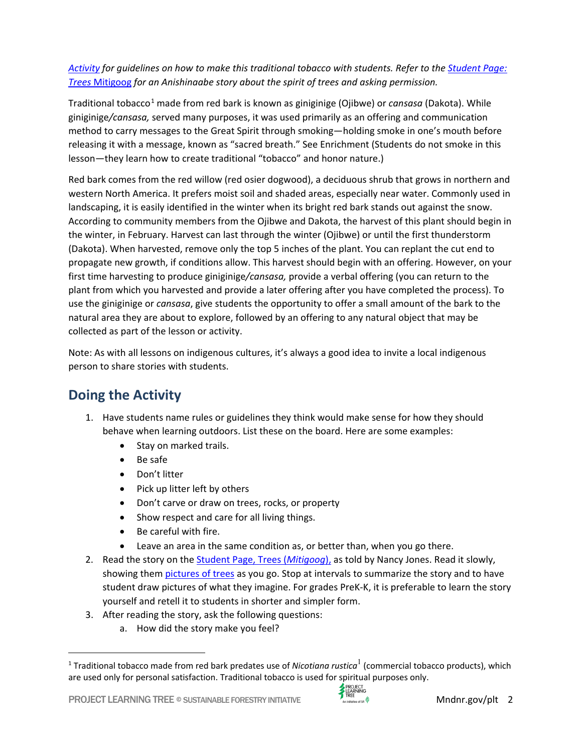#### *[Activity](#page-1-0) for guidelines on how to make this traditional tobacco with students. Refer to the [Student Page:](#page-5-0)  Trees* [Mitigoog](#page-5-0) *for an Anishinaabe story about the spirit of trees and asking permission.*

Traditional tobacco<sup>[1](#page-1-1)</sup> made from red bark is known as giniginige (Ojibwe) or *cansasa* (Dakota). While giniginige*/cansasa,* served many purposes, it was used primarily as an offering and communication method to carry messages to the Great Spirit through smoking—holding smoke in one's mouth before releasing it with a message, known as "sacred breath." See Enrichment (Students do not smoke in this lesson—they learn how to create traditional "tobacco" and honor nature.)

Red bark comes from the red willow (red osier dogwood), a deciduous shrub that grows in northern and western North America. It prefers moist soil and shaded areas, especially near water. Commonly used in landscaping, it is easily identified in the winter when its bright red bark stands out against the snow. According to community members from the Ojibwe and Dakota, the harvest of this plant should begin in the winter, in February. Harvest can last through the winter (Ojibwe) or until the first thunderstorm (Dakota). When harvested, remove only the top 5 inches of the plant. You can replant the cut end to propagate new growth, if conditions allow. This harvest should begin with an offering. However, on your first time harvesting to produce giniginige*/cansasa,* provide a verbal offering (you can return to the plant from which you harvested and provide a later offering after you have completed the process). To use the giniginige or *cansasa*, give students the opportunity to offer a small amount of the bark to the natural area they are about to explore, followed by an offering to any natural object that may be collected as part of the lesson or activity.

Note: As with all lessons on indigenous cultures, it's always a good idea to invite a local indigenous person to share stories with students.

# <span id="page-1-0"></span>**Doing the Activity**

- 1. Have students name rules or guidelines they think would make sense for how they should behave when learning outdoors. List these on the board. Here are some examples:
	- Stay on marked trails.
	- Be safe
	- Don't litter
	- Pick up litter left by others
	- Don't carve or draw on trees, rocks, or property
	- Show respect and care for all living things.
	- Be careful with fire.
	- Leave an area in the same condition as, or better than, when you go there.
- 2. Read the story on the [Student Page, Trees \(](#page-6-0)*Mitigoog*), as told by Nancy Jones. Read it slowly, showing them [pictures of trees](#page-8-0) as you go. Stop at intervals to summarize the story and to have student draw pictures of what they imagine. For grades PreK-K, it is preferable to learn the story yourself and retell it to students in shorter and simpler form.
- 3. After reading the story, ask the following questions:
	- a. How did the story make you feel?



<span id="page-1-1"></span><sup>1</sup> Traditional tobacco made from red bark predates use of *Nicotiana rustica*<sup>1</sup> (commercial tobacco products), which are used only for personal satisfaction. Traditional tobacco is used for spiritual purposes only.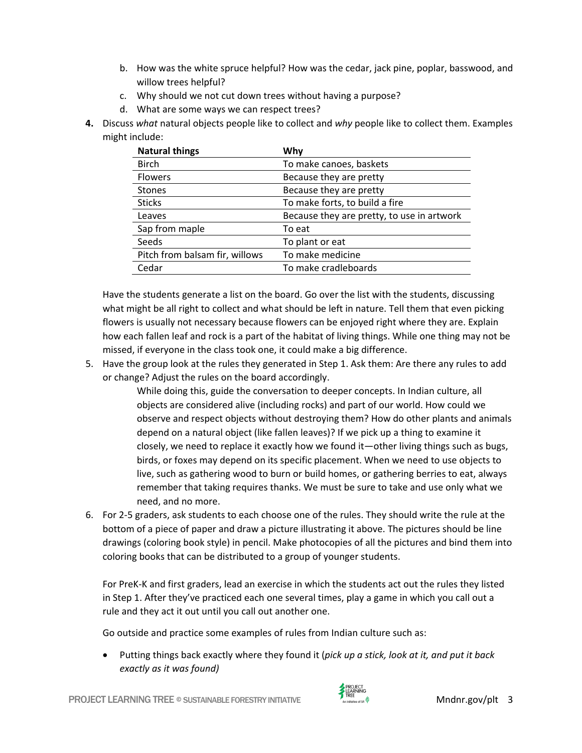- b. How was the white spruce helpful? How was the cedar, jack pine, poplar, basswood, and willow trees helpful?
- c. Why should we not cut down trees without having a purpose?
- d. What are some ways we can respect trees?
- **4.** Discuss *what* natural objects people like to collect and *why* people like to collect them. Examples might include:

| <b>Natural things</b>          | Why                                        |
|--------------------------------|--------------------------------------------|
| <b>Birch</b>                   | To make canoes, baskets                    |
| <b>Flowers</b>                 | Because they are pretty                    |
| <b>Stones</b>                  | Because they are pretty                    |
| <b>Sticks</b>                  | To make forts, to build a fire             |
| Leaves                         | Because they are pretty, to use in artwork |
| Sap from maple                 | To eat                                     |
| Seeds                          | To plant or eat                            |
| Pitch from balsam fir, willows | To make medicine                           |
| Cedar                          | To make cradleboards                       |

Have the students generate a list on the board. Go over the list with the students, discussing what might be all right to collect and what should be left in nature. Tell them that even picking flowers is usually not necessary because flowers can be enjoyed right where they are. Explain how each fallen leaf and rock is a part of the habitat of living things. While one thing may not be missed, if everyone in the class took one, it could make a big difference.

5. Have the group look at the rules they generated in Step 1. Ask them: Are there any rules to add or change? Adjust the rules on the board accordingly.

> While doing this, guide the conversation to deeper concepts. In Indian culture, all objects are considered alive (including rocks) and part of our world. How could we observe and respect objects without destroying them? How do other plants and animals depend on a natural object (like fallen leaves)? If we pick up a thing to examine it closely, we need to replace it exactly how we found it—other living things such as bugs, birds, or foxes may depend on its specific placement. When we need to use objects to live, such as gathering wood to burn or build homes, or gathering berries to eat, always remember that taking requires thanks. We must be sure to take and use only what we need, and no more.

6. For 2-5 graders, ask students to each choose one of the rules. They should write the rule at the bottom of a piece of paper and draw a picture illustrating it above. The pictures should be line drawings (coloring book style) in pencil. Make photocopies of all the pictures and bind them into coloring books that can be distributed to a group of younger students.

For PreK-K and first graders, lead an exercise in which the students act out the rules they listed in Step 1. After they've practiced each one several times, play a game in which you call out a rule and they act it out until you call out another one.

Go outside and practice some examples of rules from Indian culture such as:

• Putting things back exactly where they found it (*pick up a stick, look at it, and put it back exactly as it was found)*

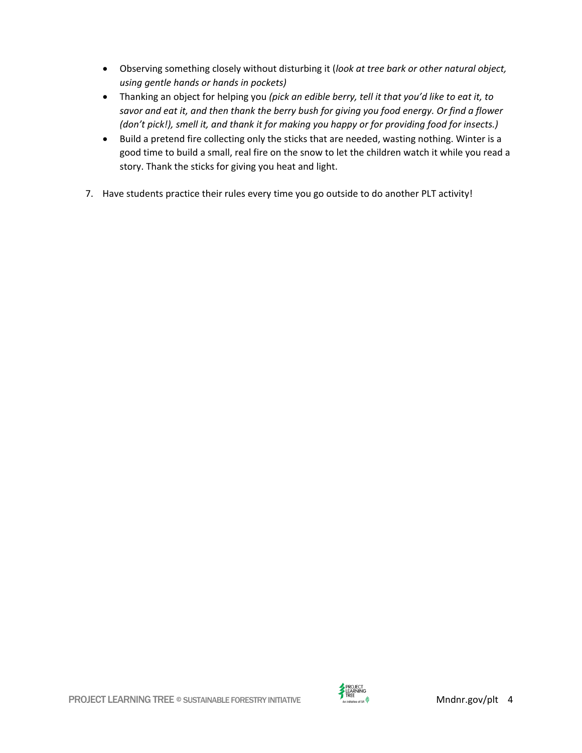- Observing something closely without disturbing it (*look at tree bark or other natural object, using gentle hands or hands in pockets)*
- Thanking an object for helping you *(pick an edible berry, tell it that you'd like to eat it, to savor and eat it, and then thank the berry bush for giving you food energy. Or find a flower (don't pick!), smell it, and thank it for making you happy or for providing food for insects.)*
- Build a pretend fire collecting only the sticks that are needed, wasting nothing. Winter is a good time to build a small, real fire on the snow to let the children watch it while you read a story. Thank the sticks for giving you heat and light.
- 7. Have students practice their rules every time you go outside to do another PLT activity!

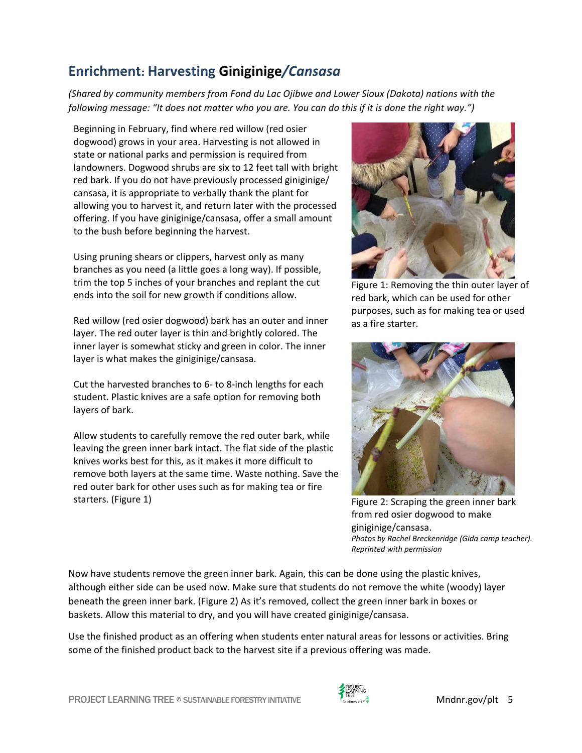# **Enrichment: Harvesting Giniginige***/Cansasa*

*(Shared by community members from Fond du Lac Ojibwe and Lower Sioux (Dakota) nations with the following message: "It does not matter who you are. You can do this if it is done the right way.")*

Beginning in February, find where red willow (red osier dogwood) grows in your area. Harvesting is not allowed in state or national parks and permission is required from landowners. Dogwood shrubs are six to 12 feet tall with bright red bark. If you do not have previously processed giniginige/ cansasa, it is appropriate to verbally thank the plant for allowing you to harvest it, and return later with the processed offering. If you have giniginige/cansasa, offer a small amount to the bush before beginning the harvest.

Using pruning shears or clippers, harvest only as many branches as you need (a little goes a long way). If possible, trim the top 5 inches of your branches and replant the cut ends into the soil for new growth if conditions allow.

Red willow (red osier dogwood) bark has an outer and inner layer. The red outer layer is thin and brightly colored. The inner layer is somewhat sticky and green in color. The inner layer is what makes the giniginige/cansasa.

Cut the harvested branches to 6- to 8-inch lengths for each student. Plastic knives are a safe option for removing both layers of bark.

Allow students to carefully remove the red outer bark, while leaving the green inner bark intact. The flat side of the plastic knives works best for this, as it makes it more difficult to remove both layers at the same time. Waste nothing. Save the red outer bark for other uses such as for making tea or fire starters. (Figure 1)



Figure 1: Removing the thin outer layer of red bark, which can be used for other purposes, such as for making tea or used as a fire starter.



Figure 2: Scraping the green inner bark from red osier dogwood to make giniginige/cansasa. *Photos by Rachel Breckenridge (Gida camp teacher). Reprinted with permission* 

Now have students remove the green inner bark. Again, this can be done using the plastic knives, although either side can be used now. Make sure that students do not remove the white (woody) layer beneath the green inner bark. (Figure 2) As it's removed, collect the green inner bark in boxes or baskets. Allow this material to dry, and you will have created giniginige/cansasa.

Use the finished product as an offering when students enter natural areas for lessons or activities. Bring some of the finished product back to the harvest site if a previous offering was made.

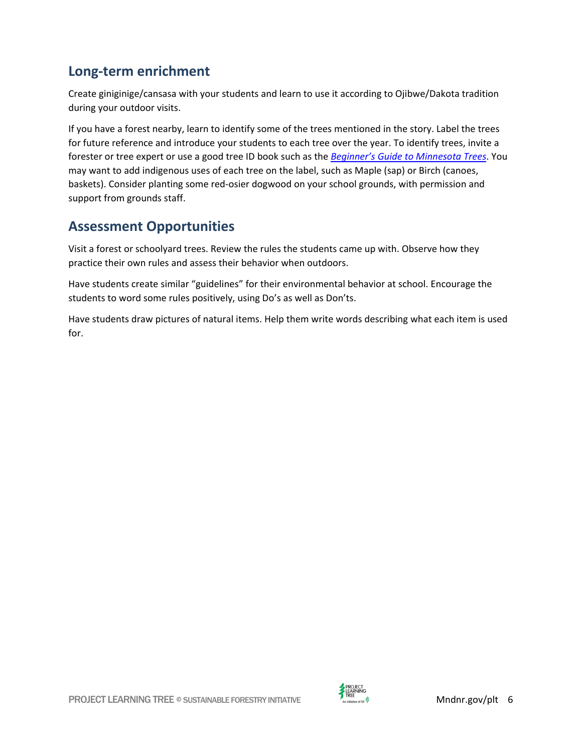#### **Long-term enrichment**

Create giniginige/cansasa with your students and learn to use it according to Ojibwe/Dakota tradition during your outdoor visits.

If you have a forest nearby, learn to identify some of the trees mentioned in the story. Label the trees for future reference and introduce your students to each tree over the year. To identify trees, invite a forester or tree expert or use a good tree ID book such as the *Beginner's Guide to Minnesota Trees*. You may want to add indigenous uses of each tree on the label, such as Maple (sap) or Birch (canoes, baskets). Consider planting some red-osier dogwood on your school grounds, with permission and support from grounds staff.

#### **Assessment Opportunities**

Visit a forest or schoolyard trees. Review the rules the students came up with. Observe how they practice their own rules and assess their behavior when outdoors.

Have students create similar "guidelines" for their environmental behavior at school. Encourage the students to word some rules positively, using Do's as well as Don'ts.

<span id="page-5-0"></span>Have students draw pictures of natural items. Help them write words describing what each item is used for.

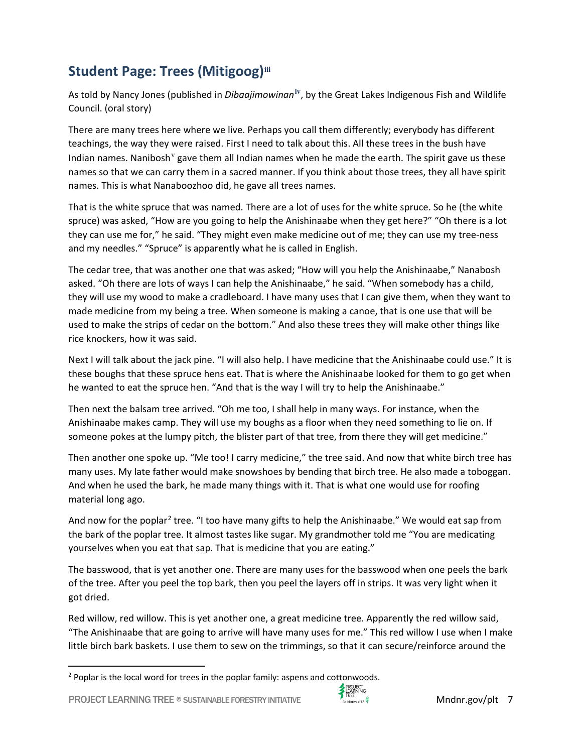# <span id="page-6-0"></span>**Student Page: Trees (Mitigoog)[iii](#page-12-2)**

As told by Nancy Jones (published in *Dibaajimowinan***[iv](#page-12-3)**, by the Great Lakes Indigenous Fish and Wildlife Council. (oral story)

There are many trees here where we live. Perhaps you call them differently; everybody has different teachings, the way they were raised. First I need to talk about this. All these trees in the bush have Indian names. Nanibosh  $\theta$  ga[v](#page-12-4)e them all Indian names when he made the earth. The spirit gave us these names so that we can carry them in a sacred manner. If you think about those trees, they all have spirit names. This is what Nanaboozhoo did, he gave all trees names.

That is the white spruce that was named. There are a lot of uses for the white spruce. So he (the white spruce) was asked, "How are you going to help the Anishinaabe when they get here?" "Oh there is a lot they can use me for," he said. "They might even make medicine out of me; they can use my tree-ness and my needles." "Spruce" is apparently what he is called in English.

The cedar tree, that was another one that was asked; "How will you help the Anishinaabe," Nanabosh asked. "Oh there are lots of ways I can help the Anishinaabe," he said. "When somebody has a child, they will use my wood to make a cradleboard. I have many uses that I can give them, when they want to made medicine from my being a tree. When someone is making a canoe, that is one use that will be used to make the strips of cedar on the bottom." And also these trees they will make other things like rice knockers, how it was said.

Next I will talk about the jack pine. "I will also help. I have medicine that the Anishinaabe could use." It is these boughs that these spruce hens eat. That is where the Anishinaabe looked for them to go get when he wanted to eat the spruce hen. "And that is the way I will try to help the Anishinaabe."

Then next the balsam tree arrived. "Oh me too, I shall help in many ways. For instance, when the Anishinaabe makes camp. They will use my boughs as a floor when they need something to lie on. If someone pokes at the lumpy pitch, the blister part of that tree, from there they will get medicine."

Then another one spoke up. "Me too! I carry medicine," the tree said. And now that white birch tree has many uses. My late father would make snowshoes by bending that birch tree. He also made a toboggan. And when he used the bark, he made many things with it. That is what one would use for roofing material long ago.

And now for the poplar<sup>[2](#page-6-1)</sup> tree. "I too have many gifts to help the Anishinaabe." We would eat sap from the bark of the poplar tree. It almost tastes like sugar. My grandmother told me "You are medicating yourselves when you eat that sap. That is medicine that you are eating."

The basswood, that is yet another one. There are many uses for the basswood when one peels the bark of the tree. After you peel the top bark, then you peel the layers off in strips. It was very light when it got dried.

Red willow, red willow. This is yet another one, a great medicine tree. Apparently the red willow said, "The Anishinaabe that are going to arrive will have many uses for me." This red willow I use when I make little birch bark baskets. I use them to sew on the trimmings, so that it can secure/reinforce around the



<span id="page-6-1"></span><sup>2</sup> Poplar is the local word for trees in the poplar family: aspens and cottonwoods.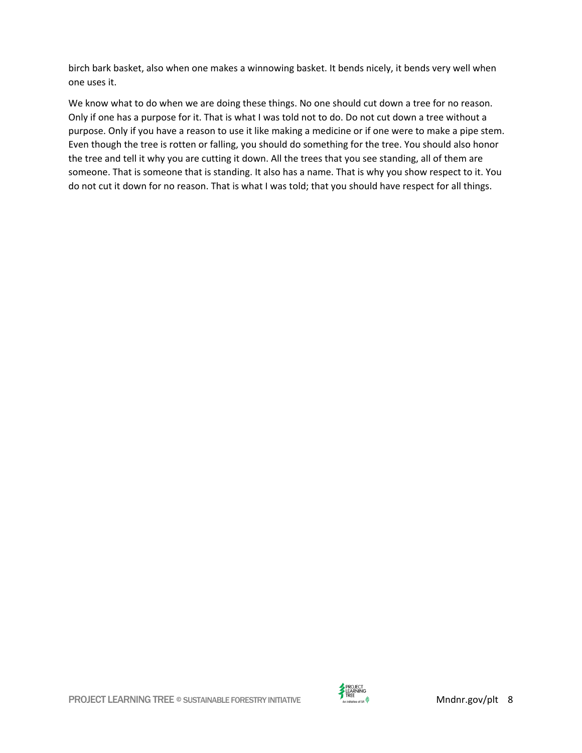birch bark basket, also when one makes a winnowing basket. It bends nicely, it bends very well when one uses it.

We know what to do when we are doing these things. No one should cut down a tree for no reason. Only if one has a purpose for it. That is what I was told not to do. Do not cut down a tree without a purpose. Only if you have a reason to use it like making a medicine or if one were to make a pipe stem. Even though the tree is rotten or falling, you should do something for the tree. You should also honor the tree and tell it why you are cutting it down. All the trees that you see standing, all of them are someone. That is someone that is standing. It also has a name. That is why you show respect to it. You do not cut it down for no reason. That is what I was told; that you should have respect for all things.

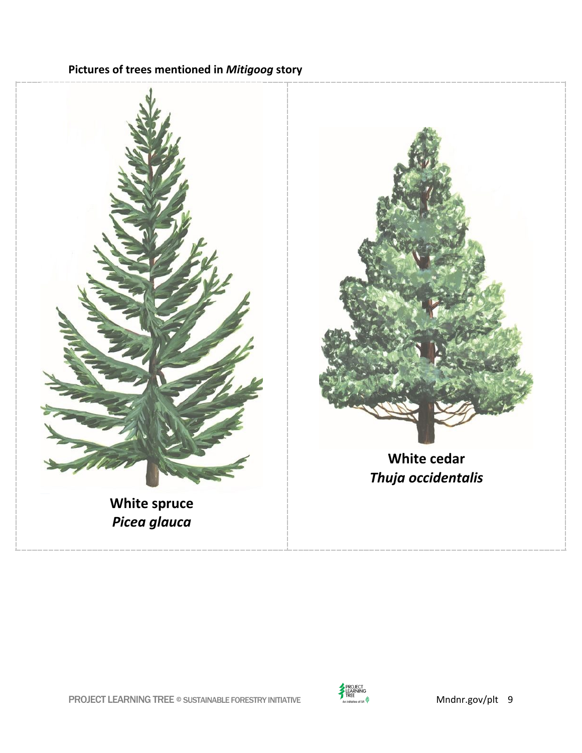#### <span id="page-8-0"></span>**Pictures of trees mentioned in** *Mitigoog* **story**



**White cedar** *Thuja occidentalis*

**White spruce** *Picea glauca*

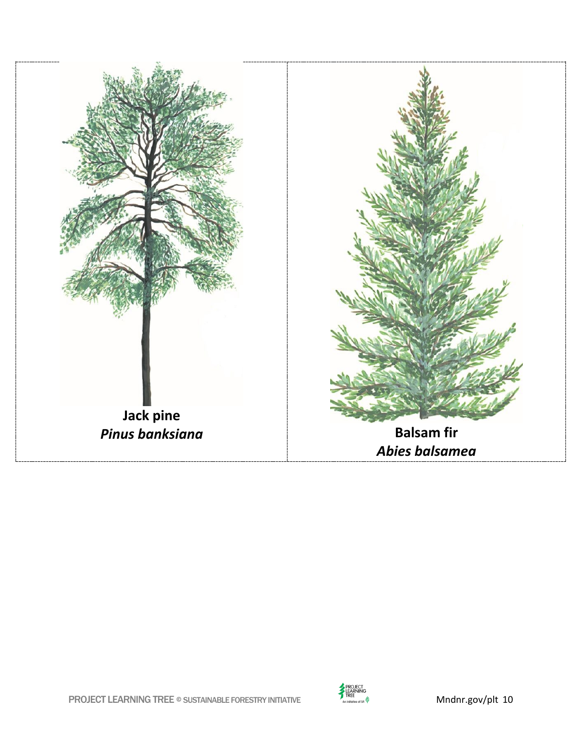



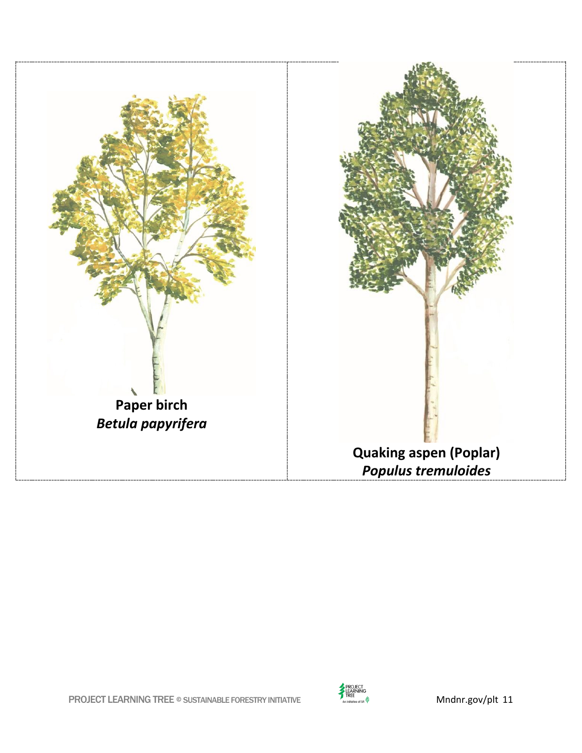

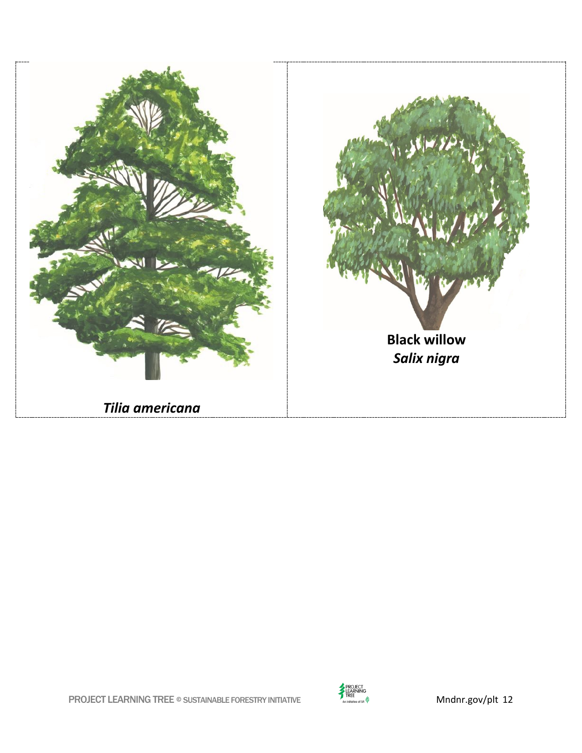